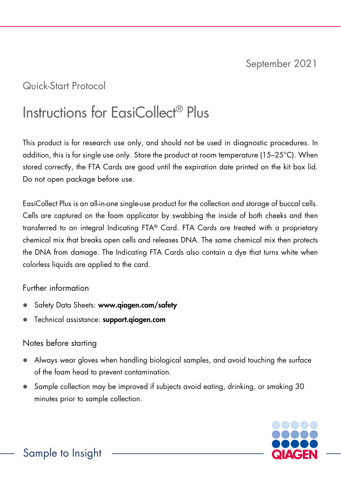## Quick-Start Protocol

# Instructions for EasiCollect® Plus

This product is for research use only, and should not be used in diagnostic procedures. In addition, this is for single use only. Store the product at room temperature (15–25°C). When stored correctly, the FTA Cards are good until the expiration date printed on the kit box lid. Do not open package before use.

EasiCollect Plus is an all-in-one single-use product for the collection and storage of buccal cells. Cells are captured on the foam applicator by swabbing the inside of both cheeks and then transferred to an integral Indicating FTA® Card. FTA Cards are treated with a proprietary chemical mix that breaks open cells and releases DNA. The same chemical mix then protects the DNA from damage. The Indicating FTA Cards also contain a dye that turns white when colorless liquids are applied to the card.

## Further information

- Safety Data Sheets: www.qiagen.com/safety
- Technical assistance: [support.qiagen.com](https://support.qiagen.com/)

## Notes before starting

- Always wear gloves when handling biological samples, and avoid touching the surface of the foam head to prevent contamination.
- Sample collection may be improved if subjects avoid eating, drinking, or smoking 30 minutes prior to sample collection.

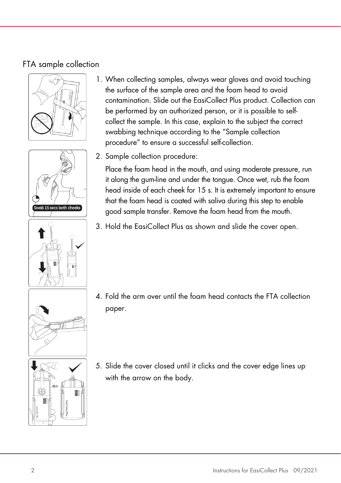## FTA sample collection







- 1. When collecting samples, always wear gloves and avoid touching the surface of the sample area and the foam head to avoid contamination. Slide out the EasiCollect Plus product. Collection can be performed by an authorized person, or it is possible to selfcollect the sample. In this case, explain to the subject the correct swabbing technique according to the "Sample collection procedure" to ensure a successful self-collection.
- 2. Sample collection procedure:

Place the foam head in the mouth, and using moderate pressure, run it along the gum-line and under the tongue. Once wet, rub the foam head inside of each cheek for 15 s. It is extremely important to ensure that the foam head is coated with saliva during this step to enable good sample transfer. Remove the foam head from the mouth.

3. Hold the EasiCollect Plus as shown and slide the cover open.



4. Fold the arm over until the foam head contacts the FTA collection paper.



5. Slide the cover closed until it clicks and the cover edge lines up with the arrow on the body.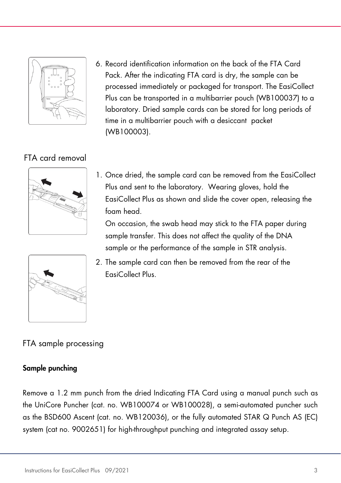

6. Record identification information on the back of the FTA Card Pack. After the indicating FTA card is dry, the sample can be processed immediately or packaged for transport. The EasiCollect Plus can be transported in a multibarrier pouch (WB100037) to a laboratory. Dried sample cards can be stored for long periods of time in a multibarrier pouch with a desiccant packet (WB100003).

## FTA card removal



1. Once dried, the sample card can be removed from the EasiCollect Plus and sent to the laboratory. Wearing gloves, hold the EasiCollect Plus as shown and slide the cover open, releasing the foam head.

On occasion, the swab head may stick to the FTA paper during sample transfer. This does not affect the quality of the DNA sample or the performance of the sample in STR analysis.



2. The sample card can then be removed from the rear of the EasiCollect Plus.

## FTA sample processing

## Sample punching

Remove a 1.2 mm punch from the dried Indicating FTA Card using a manual punch such as the UniCore Puncher (cat. no. WB100074 or WB100028), a semi-automated puncher such as the BSD600 Ascent (cat. no. WB120036), or the fully automated STAR Q Punch AS (EC) system (cat no. 9002651) for high-throughput punching and integrated assay setup.